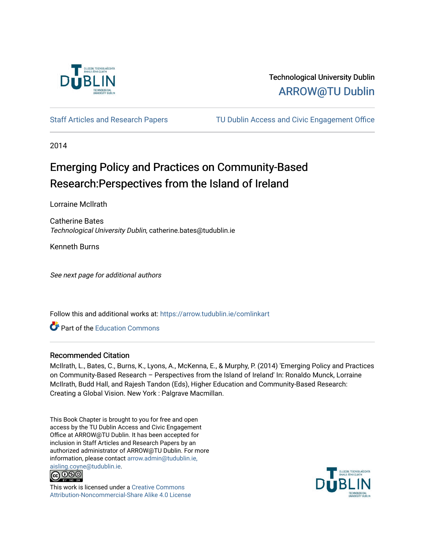

# Technological University Dublin [ARROW@TU Dublin](https://arrow.tudublin.ie/)

[Staff Articles and Research Papers](https://arrow.tudublin.ie/comlinkart) [TU Dublin Access and Civic Engagement Office](https://arrow.tudublin.ie/comlink) 

2014

# Emerging Policy and Practices on Community-Based Research: Perspectives from the Island of Ireland

Lorraine Mcllrath

Catherine Bates Technological University Dublin, catherine.bates@tudublin.ie

Kenneth Burns

See next page for additional authors

Follow this and additional works at: [https://arrow.tudublin.ie/comlinkart](https://arrow.tudublin.ie/comlinkart?utm_source=arrow.tudublin.ie%2Fcomlinkart%2F15&utm_medium=PDF&utm_campaign=PDFCoverPages)

**C** Part of the [Education Commons](http://network.bepress.com/hgg/discipline/784?utm_source=arrow.tudublin.ie%2Fcomlinkart%2F15&utm_medium=PDF&utm_campaign=PDFCoverPages)

#### Recommended Citation

McIlrath, L., Bates, C., Burns, K., Lyons, A., McKenna, E., & Murphy, P. (2014) 'Emerging Policy and Practices on Community-Based Research – Perspectives from the Island of Ireland' In: Ronaldo Munck, Lorraine McIlrath, Budd Hall, and Rajesh Tandon (Eds), Higher Education and Community-Based Research: Creating a Global Vision. New York : Palgrave Macmillan.

This Book Chapter is brought to you for free and open access by the TU Dublin Access and Civic Engagement Office at ARROW@TU Dublin. It has been accepted for inclusion in Staff Articles and Research Papers by an authorized administrator of ARROW@TU Dublin. For more information, please contact [arrow.admin@tudublin.ie,](mailto:arrow.admin@tudublin.ie,%20aisling.coyne@tudublin.ie)  [aisling.coyne@tudublin.ie.](mailto:arrow.admin@tudublin.ie,%20aisling.coyne@tudublin.ie)<br>@009



This work is licensed under a [Creative Commons](http://creativecommons.org/licenses/by-nc-sa/4.0/) [Attribution-Noncommercial-Share Alike 4.0 License](http://creativecommons.org/licenses/by-nc-sa/4.0/)

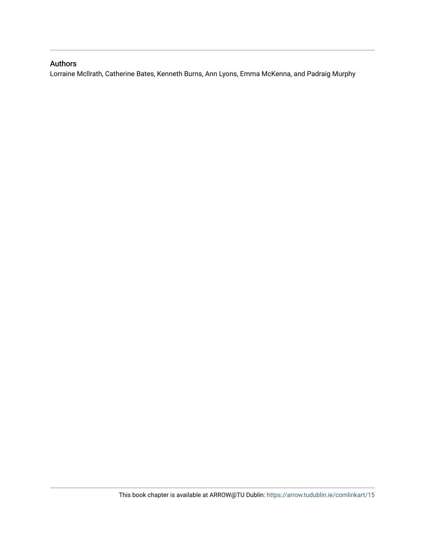# Authors

Lorraine Mcllrath, Catherine Bates, Kenneth Burns, Ann Lyons, Emma McKenna, and Padraig Murphy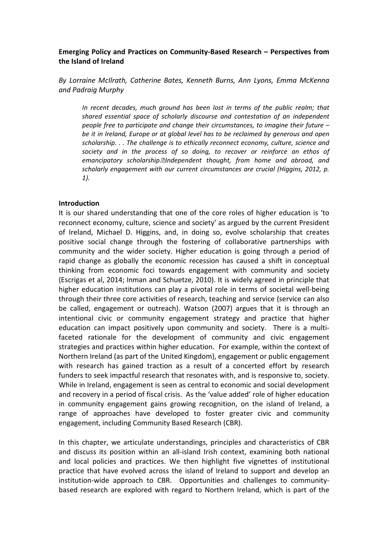# Emerging Policy and Practices on Community-Based Research – Perspectives from the Island of Ireland

By Lorraine McIlrath, Catherine Bates, Kenneth Burns, Ann Lyons, Emma McKenna and Padraig Murphy

In recent decades, much ground has been lost in terms of the public realm; that shared essential space of scholarly discourse and contestation of an independent people free to participate and change their circumstances, to imagine their future – be it in Ireland, Europe or at global level has to be reclaimed by generous and open scholarship. . . The challenge is to ethically reconnect economy, culture, science and society and in the process of so doing, to recover or reinforce an ethos of emancipatory scholarship. aIndependent thought, from home and abroad, and scholarly engagement with our current circumstances are crucial (Higgins, 2012, p. 1).

#### Introduction

It is our shared understanding that one of the core roles of higher education is 'to reconnect economy, culture, science and society' as argued by the current President of Ireland, Michael D. Higgins, and, in doing so, evolve scholarship that creates positive social change through the fostering of collaborative partnerships with community and the wider society. Higher education is going through a period of rapid change as globally the economic recession has caused a shift in conceptual thinking from economic foci towards engagement with community and society (Escrigas et al, 2014; Inman and Schuetze, 2010). It is widely agreed in principle that higher education institutions can play a pivotal role in terms of societal well-being through their three core activities of research, teaching and service (service can also be called, engagement or outreach). Watson (2007) argues that it is through an intentional civic or community engagement strategy and practice that higher education can impact positively upon community and society. There is a multifaceted rationale for the development of community and civic engagement strategies and practices within higher education. For example, within the context of Northern Ireland (as part of the United Kingdom), engagement or public engagement with research has gained traction as a result of a concerted effort by research funders to seek impactful research that resonates with, and is responsive to, society. While in Ireland, engagement is seen as central to economic and social development and recovery in a period of fiscal crisis. As the 'value added' role of higher education in community engagement gains growing recognition, on the island of Ireland, a range of approaches have developed to foster greater civic and community engagement, including Community Based Research (CBR).

In this chapter, we articulate understandings, principles and characteristics of CBR and discuss its position within an all-island Irish context, examining both national and local policies and practices. We then highlight five vignettes of institutional practice that have evolved across the island of Ireland to support and develop an institution-wide approach to CBR. Opportunities and challenges to communitybased research are explored with regard to Northern Ireland, which is part of the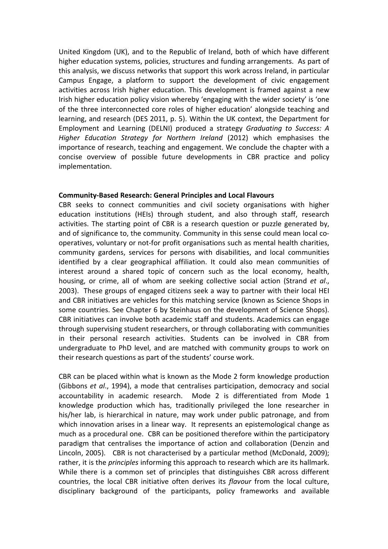United Kingdom (UK), and to the Republic of Ireland, both of which have different higher education systems, policies, structures and funding arrangements. As part of this analysis, we discuss networks that support this work across Ireland, in particular Campus Engage, a platform to support the development of civic engagement activities across Irish higher education. This development is framed against a new Irish higher education policy vision whereby 'engaging with the wider society' is 'one of the three interconnected core roles of higher education' alongside teaching and learning, and research (DES 2011, p. 5). Within the UK context, the Department for Employment and Learning (DELNI) produced a strategy Graduating to Success: A Higher Education Strategy for Northern Ireland (2012) which emphasises the importance of research, teaching and engagement. We conclude the chapter with a concise overview of possible future developments in CBR practice and policy implementation.

#### Community-Based Research: General Principles and Local Flavours

CBR seeks to connect communities and civil society organisations with higher education institutions (HEIs) through student, and also through staff, research activities. The starting point of CBR is a research question or puzzle generated by, and of significance to, the community. Community in this sense could mean local cooperatives, voluntary or not-for profit organisations such as mental health charities, community gardens, services for persons with disabilities, and local communities identified by a clear geographical affiliation. It could also mean communities of interest around a shared topic of concern such as the local economy, health, housing, or crime, all of whom are seeking collective social action (Strand et al., 2003). These groups of engaged citizens seek a way to partner with their local HEI and CBR initiatives are vehicles for this matching service (known as Science Shops in some countries. See Chapter 6 by Steinhaus on the development of Science Shops). CBR initiatives can involve both academic staff and students. Academics can engage through supervising student researchers, or through collaborating with communities in their personal research activities. Students can be involved in CBR from undergraduate to PhD level, and are matched with community groups to work on their research questions as part of the students' course work.

CBR can be placed within what is known as the Mode 2 form knowledge production (Gibbons et al., 1994), a mode that centralises participation, democracy and social accountability in academic research. Mode 2 is differentiated from Mode 1 knowledge production which has, traditionally privileged the lone researcher in his/her lab, is hierarchical in nature, may work under public patronage, and from which innovation arises in a linear way. It represents an epistemological change as much as a procedural one. CBR can be positioned therefore within the participatory paradigm that centralises the importance of action and collaboration (Denzin and Lincoln, 2005). CBR is not characterised by a particular method (McDonald, 2009); rather, it is the *principles* informing this approach to research which are its hallmark. While there is a common set of principles that distinguishes CBR across different countries, the local CBR initiative often derives its flavour from the local culture, disciplinary background of the participants, policy frameworks and available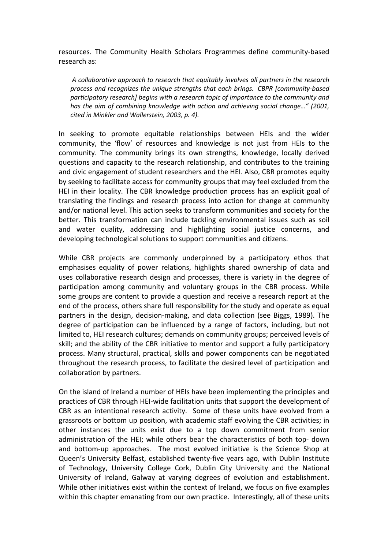resources. The Community Health Scholars Programmes define community-based research as:

 A collaborative approach to research that equitably involves all partners in the research process and recognizes the unique strengths that each brings. CBPR [community-based participatory research] begins with a research topic of importance to the community and has the aim of combining knowledge with action and achieving social change…" (2001, cited in Minkler and Wallerstein, 2003, p. 4).

In seeking to promote equitable relationships between HEIs and the wider community, the 'flow' of resources and knowledge is not just from HEIs to the community. The community brings its own strengths, knowledge, locally derived questions and capacity to the research relationship, and contributes to the training and civic engagement of student researchers and the HEI. Also, CBR promotes equity by seeking to facilitate access for community groups that may feel excluded from the HEI in their locality. The CBR knowledge production process has an explicit goal of translating the findings and research process into action for change at community and/or national level. This action seeks to transform communities and society for the better. This transformation can include tackling environmental issues such as soil and water quality, addressing and highlighting social justice concerns, and developing technological solutions to support communities and citizens.

While CBR projects are commonly underpinned by a participatory ethos that emphasises equality of power relations, highlights shared ownership of data and uses collaborative research design and processes, there is variety in the degree of participation among community and voluntary groups in the CBR process. While some groups are content to provide a question and receive a research report at the end of the process, others share full responsibility for the study and operate as equal partners in the design, decision-making, and data collection (see Biggs, 1989). The degree of participation can be influenced by a range of factors, including, but not limited to, HEI research cultures; demands on community groups; perceived levels of skill; and the ability of the CBR initiative to mentor and support a fully participatory process. Many structural, practical, skills and power components can be negotiated throughout the research process, to facilitate the desired level of participation and collaboration by partners.

On the island of Ireland a number of HEIs have been implementing the principles and practices of CBR through HEI-wide facilitation units that support the development of CBR as an intentional research activity. Some of these units have evolved from a grassroots or bottom up position, with academic staff evolving the CBR activities; in other instances the units exist due to a top down commitment from senior administration of the HEI; while others bear the characteristics of both top- down and bottom-up approaches. The most evolved initiative is the Science Shop at Queen's University Belfast, established twenty-five years ago, with Dublin Institute of Technology, University College Cork, Dublin City University and the National University of Ireland, Galway at varying degrees of evolution and establishment. While other initiatives exist within the context of Ireland, we focus on five examples within this chapter emanating from our own practice. Interestingly, all of these units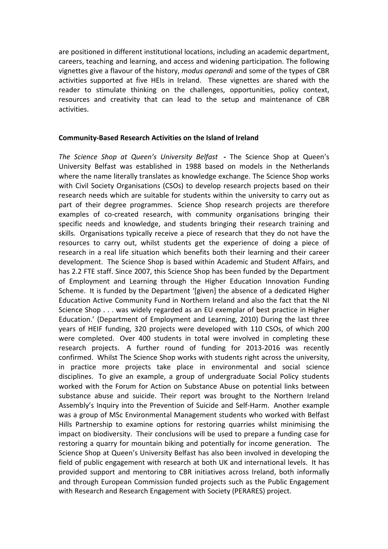are positioned in different institutional locations, including an academic department, careers, teaching and learning, and access and widening participation. The following vignettes give a flavour of the history, modus operandi and some of the types of CBR activities supported at five HEIs in Ireland. These vignettes are shared with the reader to stimulate thinking on the challenges, opportunities, policy context, resources and creativity that can lead to the setup and maintenance of CBR activities.

#### Community-Based Research Activities on the Island of Ireland

The Science Shop at Queen's University Belfast - The Science Shop at Queen's University Belfast was established in 1988 based on models in the Netherlands where the name literally translates as knowledge exchange. The Science Shop works with Civil Society Organisations (CSOs) to develop research projects based on their research needs which are suitable for students within the university to carry out as part of their degree programmes. Science Shop research projects are therefore examples of co-created research, with community organisations bringing their specific needs and knowledge, and students bringing their research training and skills. Organisations typically receive a piece of research that they do not have the resources to carry out, whilst students get the experience of doing a piece of research in a real life situation which benefits both their learning and their career development. The Science Shop is based within Academic and Student Affairs, and has 2.2 FTE staff. Since 2007, this Science Shop has been funded by the Department of Employment and Learning through the Higher Education Innovation Funding Scheme. It is funded by the Department '[given] the absence of a dedicated Higher Education Active Community Fund in Northern Ireland and also the fact that the NI Science Shop . . . was widely regarded as an EU exemplar of best practice in Higher Education.' (Department of Employment and Learning, 2010) During the last three years of HEIF funding, 320 projects were developed with 110 CSOs, of which 200 were completed. Over 400 students in total were involved in completing these research projects. A further round of funding for 2013-2016 was recently confirmed. Whilst The Science Shop works with students right across the university, in practice more projects take place in environmental and social science disciplines. To give an example, a group of undergraduate Social Policy students worked with the Forum for Action on Substance Abuse on potential links between substance abuse and suicide. Their report was brought to the Northern Ireland Assembly's Inquiry into the Prevention of Suicide and Self-Harm. Another example was a group of MSc Environmental Management students who worked with Belfast Hills Partnership to examine options for restoring quarries whilst minimising the impact on biodiversity. Their conclusions will be used to prepare a funding case for restoring a quarry for mountain biking and potentially for income generation. The Science Shop at Queen's University Belfast has also been involved in developing the field of public engagement with research at both UK and international levels. It has provided support and mentoring to CBR initiatives across Ireland, both informally and through European Commission funded projects such as the Public Engagement with Research and Research Engagement with Society (PERARES) project.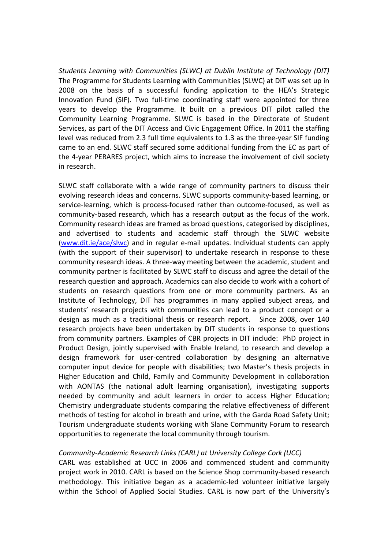Students Learning with Communities (SLWC) at Dublin Institute of Technology (DIT) The Programme for Students Learning with Communities (SLWC) at DIT was set up in 2008 on the basis of a successful funding application to the HEA's Strategic Innovation Fund (SIF). Two full-time coordinating staff were appointed for three years to develop the Programme. It built on a previous DIT pilot called the Community Learning Programme. SLWC is based in the Directorate of Student Services, as part of the DIT Access and Civic Engagement Office. In 2011 the staffing level was reduced from 2.3 full time equivalents to 1.3 as the three-year SIF funding came to an end. SLWC staff secured some additional funding from the EC as part of the 4-year PERARES project, which aims to increase the involvement of civil society in research.

SLWC staff collaborate with a wide range of community partners to discuss their evolving research ideas and concerns. SLWC supports community-based learning, or service-learning, which is process-focused rather than outcome-focused, as well as community-based research, which has a research output as the focus of the work. Community research ideas are framed as broad questions, categorised by disciplines, and advertised to students and academic staff through the SLWC website (www.dit.ie/ace/slwc) and in regular e-mail updates. Individual students can apply (with the support of their supervisor) to undertake research in response to these community research ideas. A three-way meeting between the academic, student and community partner is facilitated by SLWC staff to discuss and agree the detail of the research question and approach. Academics can also decide to work with a cohort of students on research questions from one or more community partners. As an Institute of Technology, DIT has programmes in many applied subject areas, and students' research projects with communities can lead to a product concept or a design as much as a traditional thesis or research report. Since 2008, over 140 research projects have been undertaken by DIT students in response to questions from community partners. Examples of CBR projects in DIT include: PhD project in Product Design, jointly supervised with Enable Ireland, to research and develop a design framework for user-centred collaboration by designing an alternative computer input device for people with disabilities; two Master's thesis projects in Higher Education and Child, Family and Community Development in collaboration with AONTAS (the national adult learning organisation), investigating supports needed by community and adult learners in order to access Higher Education; Chemistry undergraduate students comparing the relative effectiveness of different methods of testing for alcohol in breath and urine, with the Garda Road Safety Unit; Tourism undergraduate students working with Slane Community Forum to research opportunities to regenerate the local community through tourism.

# Community-Academic Research Links (CARL) at University College Cork (UCC)

CARL was established at UCC in 2006 and commenced student and community project work in 2010. CARL is based on the Science Shop community-based research methodology. This initiative began as a academic-led volunteer initiative largely within the School of Applied Social Studies. CARL is now part of the University's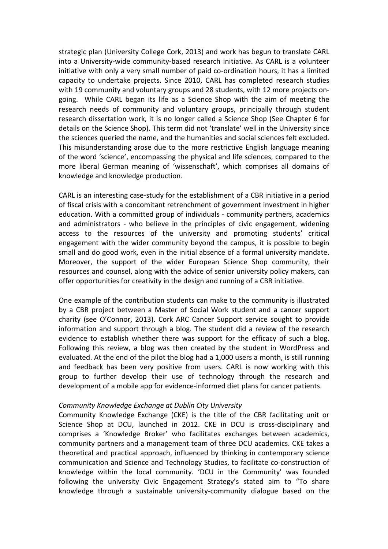strategic plan (University College Cork, 2013) and work has begun to translate CARL into a University-wide community-based research initiative. As CARL is a volunteer initiative with only a very small number of paid co-ordination hours, it has a limited capacity to undertake projects. Since 2010, CARL has completed research studies with 19 community and voluntary groups and 28 students, with 12 more projects ongoing. While CARL began its life as a Science Shop with the aim of meeting the research needs of community and voluntary groups, principally through student research dissertation work, it is no longer called a Science Shop (See Chapter 6 for details on the Science Shop). This term did not 'translate' well in the University since the sciences queried the name, and the humanities and social sciences felt excluded. This misunderstanding arose due to the more restrictive English language meaning of the word 'science', encompassing the physical and life sciences, compared to the more liberal German meaning of 'wissenschaft', which comprises all domains of knowledge and knowledge production.

CARL is an interesting case-study for the establishment of a CBR initiative in a period of fiscal crisis with a concomitant retrenchment of government investment in higher education. With a committed group of individuals - community partners, academics and administrators - who believe in the principles of civic engagement, widening access to the resources of the university and promoting students' critical engagement with the wider community beyond the campus, it is possible to begin small and do good work, even in the initial absence of a formal university mandate. Moreover, the support of the wider European Science Shop community, their resources and counsel, along with the advice of senior university policy makers, can offer opportunities for creativity in the design and running of a CBR initiative.

One example of the contribution students can make to the community is illustrated by a CBR project between a Master of Social Work student and a cancer support charity (see O'Connor, 2013). Cork ARC Cancer Support service sought to provide information and support through a blog. The student did a review of the research evidence to establish whether there was support for the efficacy of such a blog. Following this review, a blog was then created by the student in WordPress and evaluated. At the end of the pilot the blog had a 1,000 users a month, is still running and feedback has been very positive from users. CARL is now working with this group to further develop their use of technology through the research and development of a mobile app for evidence-informed diet plans for cancer patients.

#### Community Knowledge Exchange at Dublin City University

Community Knowledge Exchange (CKE) is the title of the CBR facilitating unit or Science Shop at DCU, launched in 2012. CKE in DCU is cross-disciplinary and comprises a 'Knowledge Broker' who facilitates exchanges between academics, community partners and a management team of three DCU academics. CKE takes a theoretical and practical approach, influenced by thinking in contemporary science communication and Science and Technology Studies, to facilitate co-construction of knowledge within the local community. 'DCU in the Community' was founded following the university Civic Engagement Strategy's stated aim to "To share knowledge through a sustainable university-community dialogue based on the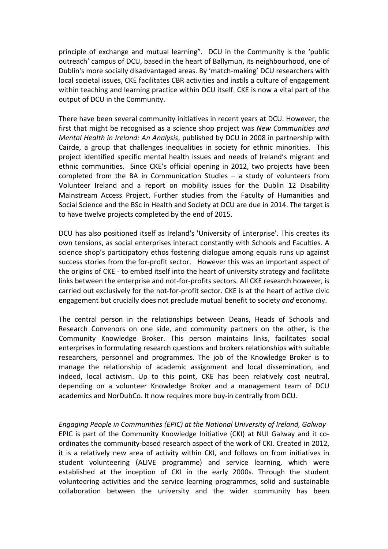principle of exchange and mutual learning". DCU in the Community is the 'public outreach' campus of DCU, based in the heart of Ballymun, its neighbourhood, one of Dublin's more socially disadvantaged areas. By 'match-making' DCU researchers with local societal issues, CKE facilitates CBR activities and instils a culture of engagement within teaching and learning practice within DCU itself. CKE is now a vital part of the output of DCU in the Community.

There have been several community initiatives in recent years at DCU. However, the first that might be recognised as a science shop project was New Communities and Mental Health in Ireland: An Analysis, published by DCU in 2008 in partnership with Cairde, a group that challenges inequalities in society for ethnic minorities. This project identified specific mental health issues and needs of Ireland's migrant and ethnic communities. Since CKE's official opening in 2012, two projects have been completed from the BA in Communication Studies – a study of volunteers from Volunteer Ireland and a report on mobility issues for the Dublin 12 Disability Mainstream Access Project. Further studies from the Faculty of Humanities and Social Science and the BSc in Health and Society at DCU are due in 2014. The target is to have twelve projects completed by the end of 2015.

DCU has also positioned itself as Ireland's 'University of Enterprise'. This creates its own tensions, as social enterprises interact constantly with Schools and Faculties. A science shop's participatory ethos fostering dialogue among equals runs up against success stories from the for-profit sector. However this was an important aspect of the origins of CKE - to embed itself into the heart of university strategy and facilitate links between the enterprise and not-for-profits sectors. All CKE research however, is carried out exclusively for the not-for-profit sector. CKE is at the heart of active civic engagement but crucially does not preclude mutual benefit to society and economy.

The central person in the relationships between Deans, Heads of Schools and Research Convenors on one side, and community partners on the other, is the Community Knowledge Broker. This person maintains links, facilitates social enterprises in formulating research questions and brokers relationships with suitable researchers, personnel and programmes. The job of the Knowledge Broker is to manage the relationship of academic assignment and local dissemination, and indeed, local activism. Up to this point, CKE has been relatively cost neutral, depending on a volunteer Knowledge Broker and a management team of DCU academics and NorDubCo. It now requires more buy-in centrally from DCU.

Engaging People in Communities (EPIC) at the National University of Ireland, Galway EPIC is part of the Community Knowledge Initiative (CKI) at NUI Galway and it coordinates the community-based research aspect of the work of CKI. Created in 2012, it is a relatively new area of activity within CKI, and follows on from initiatives in student volunteering (ALIVE programme) and service learning, which were established at the inception of CKI in the early 2000s. Through the student volunteering activities and the service learning programmes, solid and sustainable collaboration between the university and the wider community has been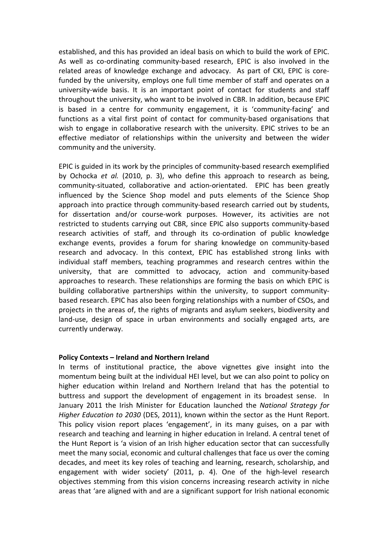established, and this has provided an ideal basis on which to build the work of EPIC. As well as co-ordinating community-based research, EPIC is also involved in the related areas of knowledge exchange and advocacy. As part of CKI, EPIC is corefunded by the university, employs one full time member of staff and operates on a university-wide basis. It is an important point of contact for students and staff throughout the university, who want to be involved in CBR. In addition, because EPIC is based in a centre for community engagement, it is 'community-facing' and functions as a vital first point of contact for community-based organisations that wish to engage in collaborative research with the university. EPIC strives to be an effective mediator of relationships within the university and between the wider community and the university.

EPIC is guided in its work by the principles of community-based research exemplified by Ochocka et al. (2010, p. 3), who define this approach to research as being, community-situated, collaborative and action-orientated. EPIC has been greatly influenced by the Science Shop model and puts elements of the Science Shop approach into practice through community-based research carried out by students, for dissertation and/or course-work purposes. However, its activities are not restricted to students carrying out CBR, since EPIC also supports community-based research activities of staff, and through its co-ordination of public knowledge exchange events, provides a forum for sharing knowledge on community-based research and advocacy. In this context, EPIC has established strong links with individual staff members, teaching programmes and research centres within the university, that are committed to advocacy, action and community-based approaches to research. These relationships are forming the basis on which EPIC is building collaborative partnerships within the university, to support communitybased research. EPIC has also been forging relationships with a number of CSOs, and projects in the areas of, the rights of migrants and asylum seekers, biodiversity and land-use, design of space in urban environments and socially engaged arts, are currently underway.

# Policy Contexts – Ireland and Northern Ireland

In terms of institutional practice, the above vignettes give insight into the momentum being built at the individual HEI level, but we can also point to policy on higher education within Ireland and Northern Ireland that has the potential to buttress and support the development of engagement in its broadest sense. In January 2011 the Irish Minister for Education launched the National Strategy for Higher Education to 2030 (DES, 2011), known within the sector as the Hunt Report. This policy vision report places 'engagement', in its many guises, on a par with research and teaching and learning in higher education in Ireland. A central tenet of the Hunt Report is 'a vision of an Irish higher education sector that can successfully meet the many social, economic and cultural challenges that face us over the coming decades, and meet its key roles of teaching and learning, research, scholarship, and engagement with wider society' (2011, p. 4). One of the high-level research objectives stemming from this vision concerns increasing research activity in niche areas that 'are aligned with and are a significant support for Irish national economic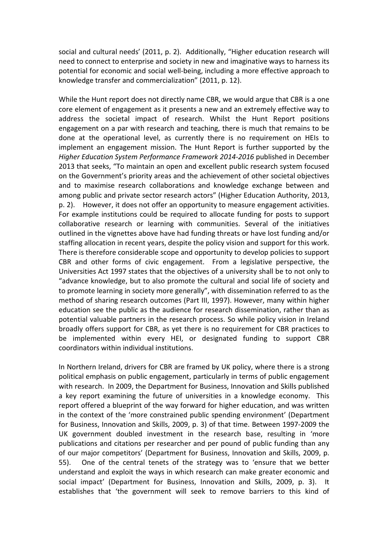social and cultural needs' (2011, p. 2). Additionally, "Higher education research will need to connect to enterprise and society in new and imaginative ways to harness its potential for economic and social well-being, including a more effective approach to knowledge transfer and commercialization" (2011, p. 12).

While the Hunt report does not directly name CBR, we would argue that CBR is a one core element of engagement as it presents a new and an extremely effective way to address the societal impact of research. Whilst the Hunt Report positions engagement on a par with research and teaching, there is much that remains to be done at the operational level, as currently there is no requirement on HEIs to implement an engagement mission. The Hunt Report is further supported by the Higher Education System Performance Framework 2014-2016 published in December 2013 that seeks, "To maintain an open and excellent public research system focused on the Government's priority areas and the achievement of other societal objectives and to maximise research collaborations and knowledge exchange between and among public and private sector research actors" (Higher Education Authority, 2013, p. 2). However, it does not offer an opportunity to measure engagement activities. For example institutions could be required to allocate funding for posts to support collaborative research or learning with communities. Several of the initiatives outlined in the vignettes above have had funding threats or have lost funding and/or staffing allocation in recent years, despite the policy vision and support for this work. There is therefore considerable scope and opportunity to develop policies to support CBR and other forms of civic engagement. From a legislative perspective, the Universities Act 1997 states that the objectives of a university shall be to not only to "advance knowledge, but to also promote the cultural and social life of society and to promote learning in society more generally", with dissemination referred to as the method of sharing research outcomes (Part III, 1997). However, many within higher education see the public as the audience for research dissemination, rather than as potential valuable partners in the research process. So while policy vision in Ireland broadly offers support for CBR, as yet there is no requirement for CBR practices to be implemented within every HEI, or designated funding to support CBR coordinators within individual institutions.

In Northern Ireland, drivers for CBR are framed by UK policy, where there is a strong political emphasis on public engagement, particularly in terms of public engagement with research. In 2009, the Department for Business, Innovation and Skills published a key report examining the future of universities in a knowledge economy. This report offered a blueprint of the way forward for higher education, and was written in the context of the 'more constrained public spending environment' (Department for Business, Innovation and Skills, 2009, p. 3) of that time. Between 1997-2009 the UK government doubled investment in the research base, resulting in 'more publications and citations per researcher and per pound of public funding than any of our major competitors' (Department for Business, Innovation and Skills, 2009, p. 55). One of the central tenets of the strategy was to 'ensure that we better understand and exploit the ways in which research can make greater economic and social impact' (Department for Business, Innovation and Skills, 2009, p. 3). It establishes that 'the government will seek to remove barriers to this kind of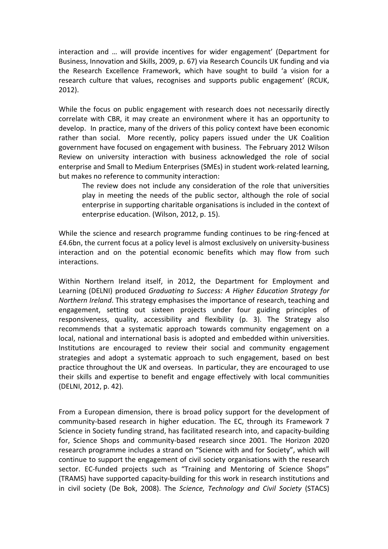interaction and … will provide incentives for wider engagement' (Department for Business, Innovation and Skills, 2009, p. 67) via Research Councils UK funding and via the Research Excellence Framework, which have sought to build 'a vision for a research culture that values, recognises and supports public engagement' (RCUK, 2012).

While the focus on public engagement with research does not necessarily directly correlate with CBR, it may create an environment where it has an opportunity to develop. In practice, many of the drivers of this policy context have been economic rather than social. More recently, policy papers issued under the UK Coalition government have focused on engagement with business. The February 2012 Wilson Review on university interaction with business acknowledged the role of social enterprise and Small to Medium Enterprises (SMEs) in student work-related learning, but makes no reference to community interaction:

The review does not include any consideration of the role that universities play in meeting the needs of the public sector, although the role of social enterprise in supporting charitable organisations is included in the context of enterprise education. (Wilson, 2012, p. 15).

While the science and research programme funding continues to be ring-fenced at £4.6bn, the current focus at a policy level is almost exclusively on university-business interaction and on the potential economic benefits which may flow from such interactions.

Within Northern Ireland itself, in 2012, the Department for Employment and Learning (DELNI) produced Graduating to Success: A Higher Education Strategy for Northern Ireland. This strategy emphasises the importance of research, teaching and engagement, setting out sixteen projects under four guiding principles of responsiveness, quality, accessibility and flexibility (p. 3). The Strategy also recommends that a systematic approach towards community engagement on a local, national and international basis is adopted and embedded within universities. Institutions are encouraged to review their social and community engagement strategies and adopt a systematic approach to such engagement, based on best practice throughout the UK and overseas. In particular, they are encouraged to use their skills and expertise to benefit and engage effectively with local communities (DELNI, 2012, p. 42).

From a European dimension, there is broad policy support for the development of community-based research in higher education. The EC, through its Framework 7 Science in Society funding strand, has facilitated research into, and capacity-building for, Science Shops and community-based research since 2001. The Horizon 2020 research programme includes a strand on "Science with and for Society", which will continue to support the engagement of civil society organisations with the research sector. EC-funded projects such as "Training and Mentoring of Science Shops" (TRAMS) have supported capacity-building for this work in research institutions and in civil society (De Bok, 2008). The Science, Technology and Civil Society (STACS)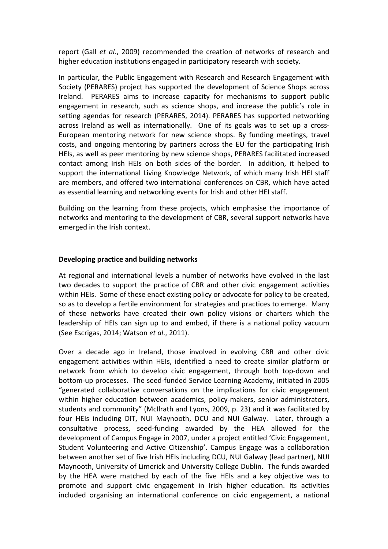report (Gall et al., 2009) recommended the creation of networks of research and higher education institutions engaged in participatory research with society.

In particular, the Public Engagement with Research and Research Engagement with Society (PERARES) project has supported the development of Science Shops across Ireland. PERARES aims to increase capacity for mechanisms to support public engagement in research, such as science shops, and increase the public's role in setting agendas for research (PERARES, 2014). PERARES has supported networking across Ireland as well as internationally. One of its goals was to set up a cross-European mentoring network for new science shops. By funding meetings, travel costs, and ongoing mentoring by partners across the EU for the participating Irish HEIs, as well as peer mentoring by new science shops, PERARES facilitated increased contact among Irish HEIs on both sides of the border. In addition, it helped to support the international Living Knowledge Network, of which many Irish HEI staff are members, and offered two international conferences on CBR, which have acted as essential learning and networking events for Irish and other HEI staff.

Building on the learning from these projects, which emphasise the importance of networks and mentoring to the development of CBR, several support networks have emerged in the Irish context.

# Developing practice and building networks

At regional and international levels a number of networks have evolved in the last two decades to support the practice of CBR and other civic engagement activities within HEIs. Some of these enact existing policy or advocate for policy to be created, so as to develop a fertile environment for strategies and practices to emerge. Many of these networks have created their own policy visions or charters which the leadership of HEIs can sign up to and embed, if there is a national policy vacuum (See Escrigas, 2014; Watson et al., 2011).

Over a decade ago in Ireland, those involved in evolving CBR and other civic engagement activities within HEIs, identified a need to create similar platform or network from which to develop civic engagement, through both top-down and bottom-up processes. The seed-funded Service Learning Academy, initiated in 2005 "generated collaborative conversations on the implications for civic engagement within higher education between academics, policy-makers, senior administrators, students and community" (McIlrath and Lyons, 2009, p. 23) and it was facilitated by four HEIs including DIT, NUI Maynooth, DCU and NUI Galway. Later, through a consultative process, seed-funding awarded by the HEA allowed for the development of Campus Engage in 2007, under a project entitled 'Civic Engagement, Student Volunteering and Active Citizenship'. Campus Engage was a collaboration between another set of five Irish HEIs including DCU, NUI Galway (lead partner), NUI Maynooth, University of Limerick and University College Dublin. The funds awarded by the HEA were matched by each of the five HEIs and a key objective was to promote and support civic engagement in Irish higher education. Its activities included organising an international conference on civic engagement, a national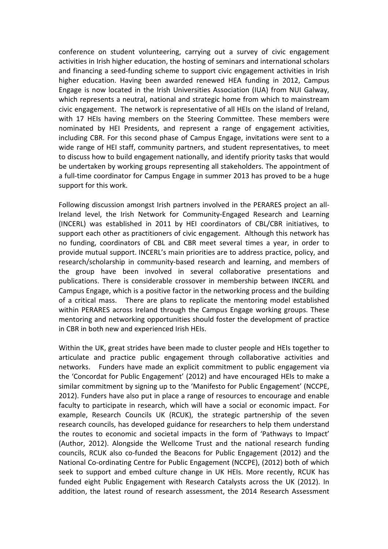conference on student volunteering, carrying out a survey of civic engagement activities in Irish higher education, the hosting of seminars and international scholars and financing a seed-funding scheme to support civic engagement activities in Irish higher education. Having been awarded renewed HEA funding in 2012, Campus Engage is now located in the Irish Universities Association (IUA) from NUI Galway, which represents a neutral, national and strategic home from which to mainstream civic engagement. The network is representative of all HEIs on the island of Ireland, with 17 HEIs having members on the Steering Committee. These members were nominated by HEI Presidents, and represent a range of engagement activities, including CBR. For this second phase of Campus Engage, invitations were sent to a wide range of HEI staff, community partners, and student representatives, to meet to discuss how to build engagement nationally, and identify priority tasks that would be undertaken by working groups representing all stakeholders. The appointment of a full-time coordinator for Campus Engage in summer 2013 has proved to be a huge support for this work.

Following discussion amongst Irish partners involved in the PERARES project an all-Ireland level, the Irish Network for Community-Engaged Research and Learning (INCERL) was established in 2011 by HEI coordinators of CBL/CBR initiatives, to support each other as practitioners of civic engagement. Although this network has no funding, coordinators of CBL and CBR meet several times a year, in order to provide mutual support. INCERL's main priorities are to address practice, policy, and research/scholarship in community-based research and learning, and members of the group have been involved in several collaborative presentations and publications. There is considerable crossover in membership between INCERL and Campus Engage, which is a positive factor in the networking process and the building of a critical mass. There are plans to replicate the mentoring model established within PERARES across Ireland through the Campus Engage working groups. These mentoring and networking opportunities should foster the development of practice in CBR in both new and experienced Irish HEIs.

Within the UK, great strides have been made to cluster people and HEIs together to articulate and practice public engagement through collaborative activities and networks. Funders have made an explicit commitment to public engagement via the 'Concordat for Public Engagement' (2012) and have encouraged HEIs to make a similar commitment by signing up to the 'Manifesto for Public Engagement' (NCCPE, 2012). Funders have also put in place a range of resources to encourage and enable faculty to participate in research, which will have a social or economic impact. For example, Research Councils UK (RCUK), the strategic partnership of the seven research councils, has developed guidance for researchers to help them understand the routes to economic and societal impacts in the form of 'Pathways to Impact' (Author, 2012). Alongside the Wellcome Trust and the national research funding councils, RCUK also co-funded the Beacons for Public Engagement (2012) and the National Co-ordinating Centre for Public Engagement (NCCPE), (2012) both of which seek to support and embed culture change in UK HEIs. More recently, RCUK has funded eight Public Engagement with Research Catalysts across the UK (2012). In addition, the latest round of research assessment, the 2014 Research Assessment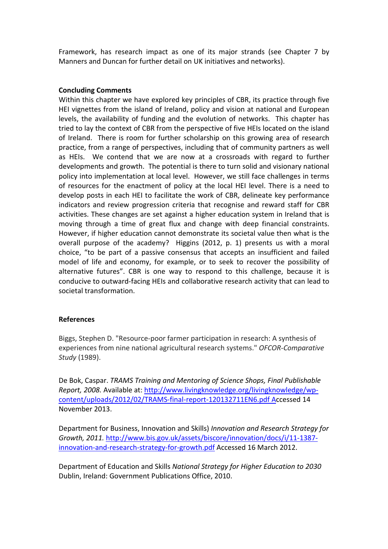Framework, has research impact as one of its major strands (see Chapter 7 by Manners and Duncan for further detail on UK initiatives and networks).

# Concluding Comments

Within this chapter we have explored key principles of CBR, its practice through five HEI vignettes from the island of Ireland, policy and vision at national and European levels, the availability of funding and the evolution of networks. This chapter has tried to lay the context of CBR from the perspective of five HEIs located on the island of Ireland. There is room for further scholarship on this growing area of research practice, from a range of perspectives, including that of community partners as well as HEIs. We contend that we are now at a crossroads with regard to further developments and growth. The potential is there to turn solid and visionary national policy into implementation at local level. However, we still face challenges in terms of resources for the enactment of policy at the local HEI level. There is a need to develop posts in each HEI to facilitate the work of CBR, delineate key performance indicators and review progression criteria that recognise and reward staff for CBR activities. These changes are set against a higher education system in Ireland that is moving through a time of great flux and change with deep financial constraints. However, if higher education cannot demonstrate its societal value then what is the overall purpose of the academy? Higgins (2012, p. 1) presents us with a moral choice, "to be part of a passive consensus that accepts an insufficient and failed model of life and economy, for example, or to seek to recover the possibility of alternative futures". CBR is one way to respond to this challenge, because it is conducive to outward-facing HEIs and collaborative research activity that can lead to societal transformation.

# References

Biggs, Stephen D. "Resource-poor farmer participation in research: A synthesis of experiences from nine national agricultural research systems." OFCOR-Comparative Study (1989).

De Bok, Caspar. TRAMS Training and Mentoring of Science Shops, Final Publishable Report, 2008. Available at: http://www.livingknowledge.org/livingknowledge/wpcontent/uploads/2012/02/TRAMS-final-report-120132711EN6.pdf Accessed 14 November 2013.

Department for Business, Innovation and Skills) Innovation and Research Strategy for Growth, 2011. http://www.bis.gov.uk/assets/biscore/innovation/docs/i/11-1387 innovation-and-research-strategy-for-growth.pdf Accessed 16 March 2012.

Department of Education and Skills National Strategy for Higher Education to 2030 Dublin, Ireland: Government Publications Office, 2010.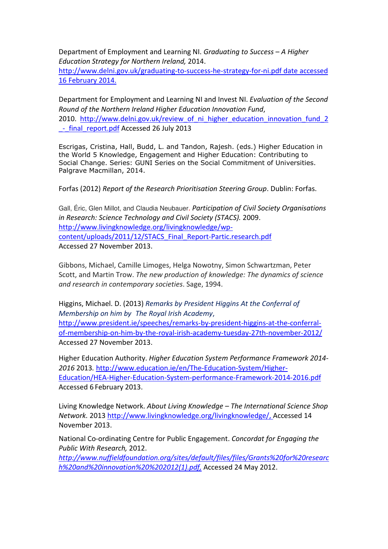Department of Employment and Learning NI. Graduating to Success – A Higher Education Strategy for Northern Ireland, 2014.

http://www.delni.gov.uk/graduating-to-success-he-strategy-for-ni.pdf date accessed 16 February 2014.

Department for Employment and Learning NI and Invest NI. Evaluation of the Second Round of the Northern Ireland Higher Education Innovation Fund, 2010. http://www.delni.gov.uk/review\_of\_ni\_higher\_education\_innovation\_fund\_2 \_-\_final\_report.pdf Accessed 26 July 2013

Escrigas, Cristina, Hall, Budd, L. and Tandon, Rajesh. (eds.) Higher Education in the World 5 Knowledge, Engagement and Higher Education: Contributing to Social Change. Series: GUNI Series on the Social Commitment of Universities. Palgrave Macmillan, 2014.

Forfas (2012) Report of the Research Prioritisation Steering Group. Dublin: Forfas.

Gall, Éric, Glen Millot, and Claudia Neubauer. Participation of Civil Society Organisations in Research: Science Technology and Civil Society (STACS). 2009. http://www.livingknowledge.org/livingknowledge/wpcontent/uploads/2011/12/STACS\_Final\_Report-Partic.research.pdf Accessed 27 November 2013.

Gibbons, Michael, Camille Limoges, Helga Nowotny, Simon Schwartzman, Peter Scott, and Martin Trow. The new production of knowledge: The dynamics of science and research in contemporary societies. Sage, 1994.

Higgins, Michael. D. (2013) Remarks by President Higgins At the Conferral of Membership on him by The Royal Irish Academy, http://www.president.ie/speeches/remarks-by-president-higgins-at-the-conferralof-membership-on-him-by-the-royal-irish-academy-tuesday-27th-november-2012/ Accessed 27 November 2013.

Higher Education Authority. Higher Education System Performance Framework 2014- 2016 2013. http://www.education.ie/en/The-Education-System/Higher-Education/HEA-Higher-Education-System-performance-Framework-2014-2016.pdf Accessed 6 February 2013.

Living Knowledge Network. About Living Knowledge – The International Science Shop Network. 2013 http://www.livingknowledge.org/livingknowledge/, Accessed 14 November 2013.

National Co-ordinating Centre for Public Engagement. Concordat for Engaging the Public With Research, 2012.

http://www.nuffieldfoundation.org/sites/default/files/files/Grants%20for%20researc h%20and%20innovation%20%202012(1).pdf, Accessed 24 May 2012.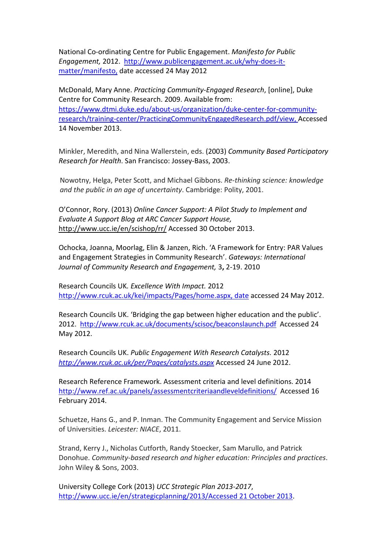National Co-ordinating Centre for Public Engagement. Manifesto for Public Engagement, 2012. http://www.publicengagement.ac.uk/why-does-itmatter/manifesto, date accessed 24 May 2012

McDonald, Mary Anne. Practicing Community-Engaged Research, [online], Duke Centre for Community Research. 2009. Available from: https://www.dtmi.duke.edu/about-us/organization/duke-center-for-communityresearch/training-center/PracticingCommunityEngagedResearch.pdf/view, Accessed 14 November 2013.

Minkler, Meredith, and Nina Wallerstein, eds. (2003) Community Based Participatory Research for Health. San Francisco: Jossey-Bass, 2003.

Nowotny, Helga, Peter Scott, and Michael Gibbons. Re-thinking science: knowledge and the public in an age of uncertainty. Cambridge: Polity, 2001.

O'Connor, Rory. (2013) Online Cancer Support: A Pilot Study to Implement and Evaluate A Support Blog at ARC Cancer Support House, http://www.ucc.ie/en/scishop/rr/ Accessed 30 October 2013.

Ochocka, Joanna, Moorlag, Elin & Janzen, Rich. 'A Framework for Entry: PAR Values and Engagement Strategies in Community Research'. Gateways: International Journal of Community Research and Engagement, 3, 2-19. 2010

Research Councils UK. Excellence With Impact. 2012 http://www.rcuk.ac.uk/kei/impacts/Pages/home.aspx, date accessed 24 May 2012.

Research Councils UK. 'Bridging the gap between higher education and the public'. 2012. http://www.rcuk.ac.uk/documents/scisoc/beaconslaunch.pdf Accessed 24 May 2012.

Research Councils UK. Public Engagement With Research Catalysts. 2012 http://www.rcuk.ac.uk/per/Pages/catalysts.aspx Accessed 24 June 2012.

Research Reference Framework. Assessment criteria and level definitions. 2014 http://www.ref.ac.uk/panels/assessmentcriteriaandleveldefinitions/ Accessed 16 February 2014.

Schuetze, Hans G., and P. Inman. The Community Engagement and Service Mission of Universities. Leicester: NIACE, 2011.

Strand, Kerry J., Nicholas Cutforth, Randy Stoecker, Sam Marullo, and Patrick Donohue. Community-based research and higher education: Principles and practices. John Wiley & Sons, 2003.

University College Cork (2013) UCC Strategic Plan 2013-2017, http://www.ucc.ie/en/strategicplanning/2013/Accessed 21 October 2013.